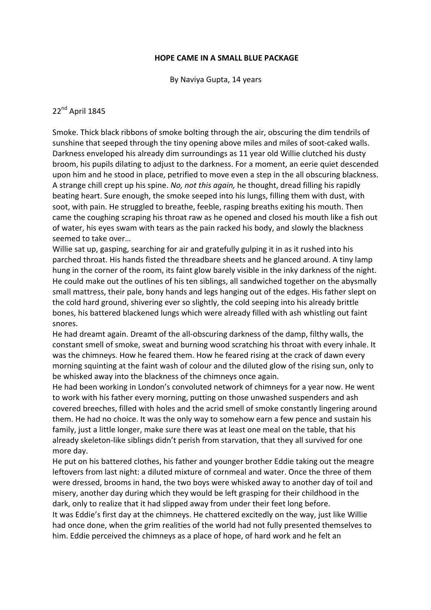## **HOPE CAME IN A SMALL BLUE PACKAGE**

By Naviya Gupta, 14 years

## 22<sup>nd</sup> April 1845

Smoke. Thick black ribbons of smoke bolting through the air, obscuring the dim tendrils of sunshine that seeped through the tiny opening above miles and miles of soot-caked walls. Darkness enveloped his already dim surroundings as 11 year old Willie clutched his dusty broom, his pupils dilating to adjust to the darkness. For a moment, an eerie quiet descended upon him and he stood in place, petrified to move even a step in the all obscuring blackness. A strange chill crept up his spine. *No, not this again,* he thought, dread filling his rapidly beating heart. Sure enough, the smoke seeped into his lungs, filling them with dust, with soot, with pain. He struggled to breathe, feeble, rasping breaths exiting his mouth. Then came the coughing scraping his throat raw as he opened and closed his mouth like a fish out of water, his eyes swam with tears as the pain racked his body, and slowly the blackness seemed to take over...

Willie sat up, gasping, searching for air and gratefully gulping it in as it rushed into his parched throat. His hands fisted the threadbare sheets and he glanced around. A tiny lamp hung in the corner of the room, its faint glow barely visible in the inky darkness of the night. He could make out the outlines of his ten siblings, all sandwiched together on the abysmally small mattress, their pale, bony hands and legs hanging out of the edges. His father slept on the cold hard ground, shivering ever so slightly, the cold seeping into his already brittle bones, his battered blackened lungs which were already filled with ash whistling out faint snores.

He had dreamt again. Dreamt of the all-obscuring darkness of the damp, filthy walls, the constant smell of smoke, sweat and burning wood scratching his throat with every inhale. It was the chimneys. How he feared them. How he feared rising at the crack of dawn every morning squinting at the faint wash of colour and the diluted glow of the rising sun, only to be whisked away into the blackness of the chimneys once again.

He had been working in London's convoluted network of chimneys for a year now. He went to work with his father every morning, putting on those unwashed suspenders and ash covered breeches, filled with holes and the acrid smell of smoke constantly lingering around them. He had no choice. It was the only way to somehow earn a few pence and sustain his family, just a little longer, make sure there was at least one meal on the table, that his already skeleton-like siblings didn't perish from starvation, that they all survived for one more day.

He put on his battered clothes, his father and younger brother Eddie taking out the meagre leftovers from last night: a diluted mixture of cornmeal and water. Once the three of them were dressed, brooms in hand, the two boys were whisked away to another day of toil and misery, another day during which they would be left grasping for their childhood in the dark, only to realize that it had slipped away from under their feet long before.

It was Eddie's first day at the chimneys. He chattered excitedly on the way, just like Willie had once done, when the grim realities of the world had not fully presented themselves to him. Eddie perceived the chimneys as a place of hope, of hard work and he felt an